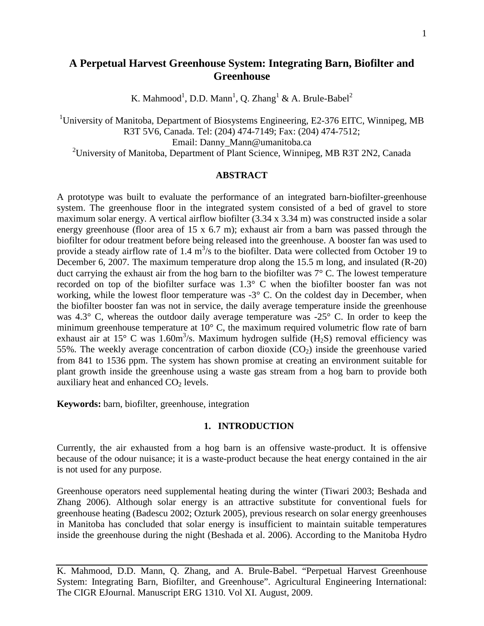# **A Perpetual Harvest Greenhouse System: Integrating Barn, Biofilter and Greenhouse**

K. Mahmood<sup>1</sup>, D.D. Mann<sup>1</sup>, Q. Zhang<sup>1</sup> & A. Brule-Babel<sup>2</sup>

<sup>1</sup>University of Manitoba, Department of Biosystems Engineering, E2-376 EITC, Winnipeg, MB R3T 5V6, Canada. Tel: (204) 474-7149; Fax: (204) 474-7512;

Email: Danny\_Mann@umanitoba.ca

<sup>2</sup>University of Manitoba, Department of Plant Science, Winnipeg, MB R3T 2N2, Canada

#### **ABSTRACT**

A prototype was built to evaluate the performance of an integrated barn-biofilter-greenhouse system. The greenhouse floor in the integrated system consisted of a bed of gravel to store maximum solar energy. A vertical airflow biofilter (3.34 x 3.34 m) was constructed inside a solar energy greenhouse (floor area of 15 x 6.7 m); exhaust air from a barn was passed through the biofilter for odour treatment before being released into the greenhouse. A booster fan was used to provide a steady airflow rate of 1.4  $m^3/s$  to the biofilter. Data were collected from October 19 to December 6, 2007. The maximum temperature drop along the 15.5 m long, and insulated (R-20) duct carrying the exhaust air from the hog barn to the biofilter was 7° C. The lowest temperature recorded on top of the biofilter surface was 1.3° C when the biofilter booster fan was not working, while the lowest floor temperature was -3° C. On the coldest day in December, when the biofilter booster fan was not in service, the daily average temperature inside the greenhouse was 4.3° C, whereas the outdoor daily average temperature was -25° C. In order to keep the minimum greenhouse temperature at 10° C, the maximum required volumetric flow rate of barn exhaust air at 15 $^{\circ}$  C was 1.60m<sup>3</sup>/s. Maximum hydrogen sulfide (H<sub>2</sub>S) removal efficiency was 55%. The weekly average concentration of carbon dioxide  $(CO<sub>2</sub>)$  inside the greenhouse varied from 841 to 1536 ppm. The system has shown promise at creating an environment suitable for plant growth inside the greenhouse using a waste gas stream from a hog barn to provide both auxiliary heat and enhanced  $CO<sub>2</sub>$  levels.

**Keywords:** barn, biofilter, greenhouse, integration

## **1. INTRODUCTION**

Currently, the air exhausted from a hog barn is an offensive waste-product. It is offensive because of the odour nuisance; it is a waste-product because the heat energy contained in the air is not used for any purpose.

Greenhouse operators need supplemental heating during the winter (Tiwari 2003; Beshada and Zhang 2006). Although solar energy is an attractive substitute for conventional fuels for greenhouse heating (Badescu 2002; Ozturk 2005), previous research on solar energy greenhouses in Manitoba has concluded that solar energy is insufficient to maintain suitable temperatures inside the greenhouse during the night (Beshada et al. 2006). According to the Manitoba Hydro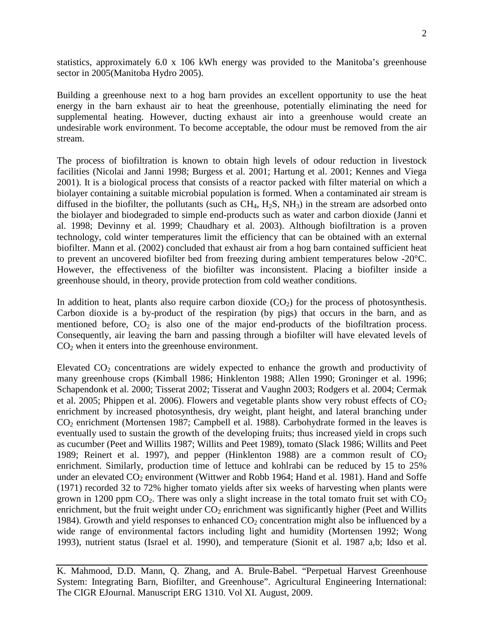statistics, approximately 6.0 x 106 kWh energy was provided to the Manitoba's greenhouse sector in 2005(Manitoba Hydro 2005).

Building a greenhouse next to a hog barn provides an excellent opportunity to use the heat energy in the barn exhaust air to heat the greenhouse, potentially eliminating the need for supplemental heating. However, ducting exhaust air into a greenhouse would create an undesirable work environment. To become acceptable, the odour must be removed from the air stream.

The process of biofiltration is known to obtain high levels of odour reduction in livestock facilities (Nicolai and Janni 1998; Burgess et al. 2001; Hartung et al. 2001; Kennes and Viega 2001). It is a biological process that consists of a reactor packed with filter material on which a biolayer containing a suitable microbial population is formed. When a contaminated air stream is diffused in the biofilter, the pollutants (such as  $CH_4$ ,  $H_2S$ ,  $NH_3$ ) in the stream are adsorbed onto the biolayer and biodegraded to simple end-products such as water and carbon dioxide (Janni et al. 1998; Devinny et al. 1999; Chaudhary et al. 2003). Although biofiltration is a proven technology, cold winter temperatures limit the efficiency that can be obtained with an external biofilter. Mann et al. (2002) concluded that exhaust air from a hog barn contained sufficient heat to prevent an uncovered biofilter bed from freezing during ambient temperatures below -20°C. However, the effectiveness of the biofilter was inconsistent. Placing a biofilter inside a greenhouse should, in theory, provide protection from cold weather conditions.

In addition to heat, plants also require carbon dioxide  $(CO<sub>2</sub>)$  for the process of photosynthesis. Carbon dioxide is a by-product of the respiration (by pigs) that occurs in the barn, and as mentioned before,  $CO<sub>2</sub>$  is also one of the major end-products of the biofiltration process. Consequently, air leaving the barn and passing through a biofilter will have elevated levels of  $CO<sub>2</sub>$  when it enters into the greenhouse environment.

Elevated  $CO<sub>2</sub>$  concentrations are widely expected to enhance the growth and productivity of many greenhouse crops (Kimball 1986; Hinklenton 1988; Allen 1990; Groninger et al. 1996; Schapendonk et al. 2000; Tisserat 2002; Tisserat and Vaughn 2003; Rodgers et al. 2004; Cermak et al. 2005; Phippen et al. 2006). Flowers and vegetable plants show very robust effects of  $CO<sub>2</sub>$ enrichment by increased photosynthesis, dry weight, plant height, and lateral branching under CO2 enrichment (Mortensen 1987; Campbell et al. 1988). Carbohydrate formed in the leaves is eventually used to sustain the growth of the developing fruits; thus increased yield in crops such as cucumber (Peet and Willits 1987; Willits and Peet 1989), tomato (Slack 1986; Willits and Peet 1989; Reinert et al. 1997), and pepper (Hinklenton 1988) are a common result of  $CO<sub>2</sub>$ enrichment. Similarly, production time of lettuce and kohlrabi can be reduced by 15 to 25% under an elevated  $CO_2$  environment (Wittwer and Robb 1964; Hand et al. 1981). Hand and Soffe (1971) recorded 32 to 72% higher tomato yields after six weeks of harvesting when plants were grown in 1200 ppm  $CO<sub>2</sub>$ . There was only a slight increase in the total tomato fruit set with  $CO<sub>2</sub>$ enrichment, but the fruit weight under  $CO<sub>2</sub>$  enrichment was significantly higher (Peet and Willits 1984). Growth and yield responses to enhanced  $CO<sub>2</sub>$  concentration might also be influenced by a wide range of environmental factors including light and humidity (Mortensen 1992; Wong 1993), nutrient status (Israel et al. 1990), and temperature (Sionit et al. 1987 a,b; Idso et al.

K. Mahmood, D.D. Mann, Q. Zhang, and A. Brule-Babel. "Perpetual Harvest Greenhouse System: Integrating Barn, Biofilter, and Greenhouse". Agricultural Engineering International: The CIGR EJournal. Manuscript ERG 1310. Vol XI. August, 2009.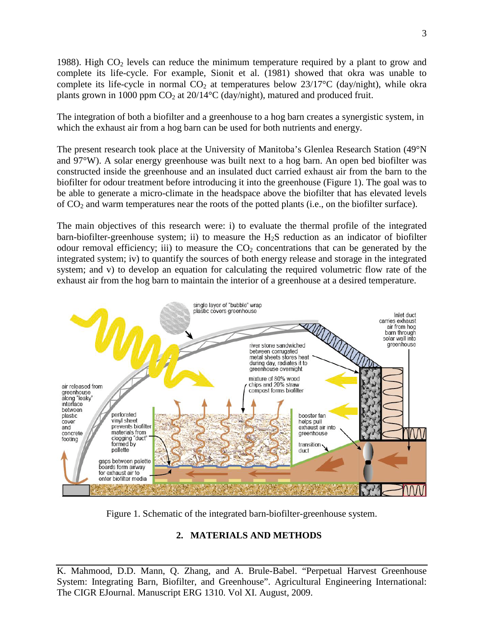1988). High  $CO<sub>2</sub>$  levels can reduce the minimum temperature required by a plant to grow and complete its life-cycle. For example, Sionit et al. (1981) showed that okra was unable to complete its life-cycle in normal  $CO<sub>2</sub>$  at temperatures below 23/17°C (day/night), while okra plants grown in 1000 ppm  $CO<sub>2</sub>$  at 20/14°C (day/night), matured and produced fruit.

The integration of both a biofilter and a greenhouse to a hog barn creates a synergistic system, in which the exhaust air from a hog barn can be used for both nutrients and energy.

The present research took place at the University of Manitoba's Glenlea Research Station (49°N and 97°W). A solar energy greenhouse was built next to a hog barn. An open bed biofilter was constructed inside the greenhouse and an insulated duct carried exhaust air from the barn to the biofilter for odour treatment before introducing it into the greenhouse (Figure 1). The goal was to be able to generate a micro-climate in the headspace above the biofilter that has elevated levels of CO2 and warm temperatures near the roots of the potted plants (i.e., on the biofilter surface).

The main objectives of this research were: i) to evaluate the thermal profile of the integrated barn-biofilter-greenhouse system; ii) to measure the  $H_2S$  reduction as an indicator of biofilter odour removal efficiency; iii) to measure the  $CO<sub>2</sub>$  concentrations that can be generated by the integrated system; iv) to quantify the sources of both energy release and storage in the integrated system; and v) to develop an equation for calculating the required volumetric flow rate of the exhaust air from the hog barn to maintain the interior of a greenhouse at a desired temperature.



Figure 1. Schematic of the integrated barn-biofilter-greenhouse system.

# **2. MATERIALS AND METHODS**

K. Mahmood, D.D. Mann, Q. Zhang, and A. Brule-Babel. "Perpetual Harvest Greenhouse System: Integrating Barn, Biofilter, and Greenhouse". Agricultural Engineering International: The CIGR EJournal. Manuscript ERG 1310. Vol XI. August, 2009.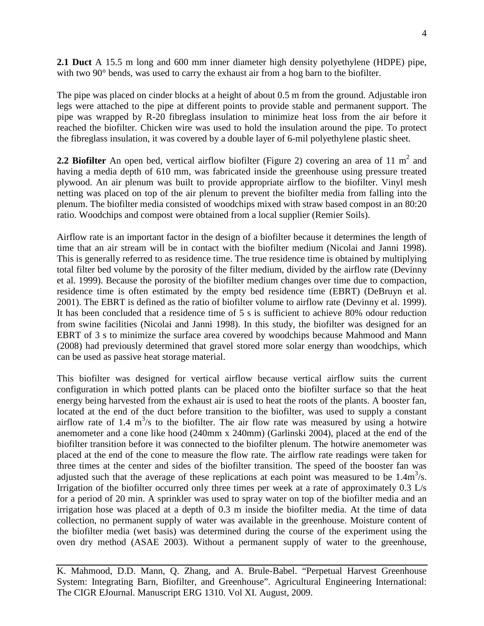**2.1 Duct** A 15.5 m long and 600 mm inner diameter high density polyethylene (HDPE) pipe, with two 90 $^{\circ}$  bends, was used to carry the exhaust air from a hog barn to the biofilter.

The pipe was placed on cinder blocks at a height of about 0.5 m from the ground. Adjustable iron legs were attached to the pipe at different points to provide stable and permanent support. The pipe was wrapped by R-20 fibreglass insulation to minimize heat loss from the air before it reached the biofilter. Chicken wire was used to hold the insulation around the pipe. To protect the fibreglass insulation, it was covered by a double layer of 6-mil polyethylene plastic sheet.

**2.2 Biofilter** An open bed, vertical airflow biofilter (Figure 2) covering an area of 11  $m<sup>2</sup>$  and having a media depth of 610 mm, was fabricated inside the greenhouse using pressure treated plywood. An air plenum was built to provide appropriate airflow to the biofilter. Vinyl mesh netting was placed on top of the air plenum to prevent the biofilter media from falling into the plenum. The biofilter media consisted of woodchips mixed with straw based compost in an 80:20 ratio. Woodchips and compost were obtained from a local supplier (Remier Soils).

Airflow rate is an important factor in the design of a biofilter because it determines the length of time that an air stream will be in contact with the biofilter medium (Nicolai and Janni 1998). This is generally referred to as residence time. The true residence time is obtained by multiplying total filter bed volume by the porosity of the filter medium, divided by the airflow rate (Devinny et al. 1999). Because the porosity of the biofilter medium changes over time due to compaction, residence time is often estimated by the empty bed residence time (EBRT) (DeBruyn et al. 2001). The EBRT is defined as the ratio of biofilter volume to airflow rate (Devinny et al. 1999). It has been concluded that a residence time of 5 s is sufficient to achieve 80% odour reduction from swine facilities (Nicolai and Janni 1998). In this study, the biofilter was designed for an EBRT of 3 s to minimize the surface area covered by woodchips because Mahmood and Mann (2008) had previously determined that gravel stored more solar energy than woodchips, which can be used as passive heat storage material.

This biofilter was designed for vertical airflow because vertical airflow suits the current configuration in which potted plants can be placed onto the biofilter surface so that the heat energy being harvested from the exhaust air is used to heat the roots of the plants. A booster fan, located at the end of the duct before transition to the biofilter, was used to supply a constant airflow rate of 1.4  $m<sup>3</sup>/s$  to the biofilter. The air flow rate was measured by using a hotwire anemometer and a cone like hood (240mm x 240mm) (Garlinski 2004), placed at the end of the biofilter transition before it was connected to the biofilter plenum. The hotwire anemometer was placed at the end of the cone to measure the flow rate. The airflow rate readings were taken for three times at the center and sides of the biofilter transition. The speed of the booster fan was adjusted such that the average of these replications at each point was measured to be  $1.4 \text{m}^3/\text{s}$ . Irrigation of the biofilter occurred only three times per week at a rate of approximately 0.3 L/s for a period of 20 min. A sprinkler was used to spray water on top of the biofilter media and an irrigation hose was placed at a depth of 0.3 m inside the biofilter media. At the time of data collection, no permanent supply of water was available in the greenhouse. Moisture content of the biofilter media (wet basis) was determined during the course of the experiment using the oven dry method (ASAE 2003). Without a permanent supply of water to the greenhouse,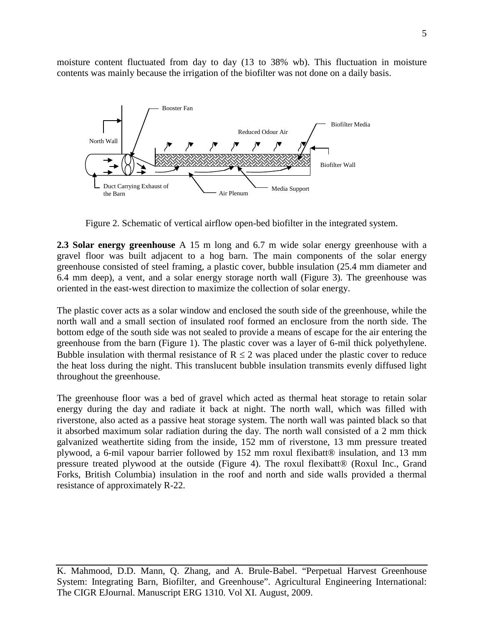moisture content fluctuated from day to day (13 to 38% wb). This fluctuation in moisture contents was mainly because the irrigation of the biofilter was not done on a daily basis.



Figure 2. Schematic of vertical airflow open-bed biofilter in the integrated system.

**2.3 Solar energy greenhouse** A 15 m long and 6.7 m wide solar energy greenhouse with a gravel floor was built adjacent to a hog barn. The main components of the solar energy greenhouse consisted of steel framing, a plastic cover, bubble insulation (25.4 mm diameter and 6.4 mm deep), a vent, and a solar energy storage north wall (Figure 3). The greenhouse was oriented in the east-west direction to maximize the collection of solar energy.

The plastic cover acts as a solar window and enclosed the south side of the greenhouse, while the north wall and a small section of insulated roof formed an enclosure from the north side. The bottom edge of the south side was not sealed to provide a means of escape for the air entering the greenhouse from the barn (Figure 1). The plastic cover was a layer of 6-mil thick polyethylene. Bubble insulation with thermal resistance of  $R \le 2$  was placed under the plastic cover to reduce the heat loss during the night. This translucent bubble insulation transmits evenly diffused light throughout the greenhouse.

The greenhouse floor was a bed of gravel which acted as thermal heat storage to retain solar energy during the day and radiate it back at night. The north wall, which was filled with riverstone, also acted as a passive heat storage system. The north wall was painted black so that it absorbed maximum solar radiation during the day. The north wall consisted of a 2 mm thick galvanized weathertite siding from the inside, 152 mm of riverstone, 13 mm pressure treated plywood, a 6-mil vapour barrier followed by 152 mm roxul flexibatt® insulation, and 13 mm pressure treated plywood at the outside (Figure 4). The roxul flexibatt® (Roxul Inc., Grand Forks, British Columbia) insulation in the roof and north and side walls provided a thermal resistance of approximately R-22.

K. Mahmood, D.D. Mann, Q. Zhang, and A. Brule-Babel. "Perpetual Harvest Greenhouse System: Integrating Barn, Biofilter, and Greenhouse". Agricultural Engineering International: The CIGR EJournal. Manuscript ERG 1310. Vol XI. August, 2009.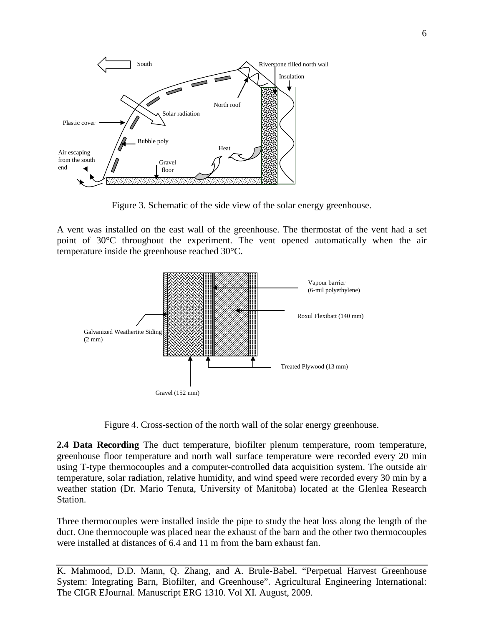

Figure 3. Schematic of the side view of the solar energy greenhouse.

A vent was installed on the east wall of the greenhouse. The thermostat of the vent had a set point of 30°C throughout the experiment. The vent opened automatically when the air temperature inside the greenhouse reached 30°C.



Figure 4. Cross-section of the north wall of the solar energy greenhouse.

**2.4 Data Recording** The duct temperature, biofilter plenum temperature, room temperature, greenhouse floor temperature and north wall surface temperature were recorded every 20 min using T-type thermocouples and a computer-controlled data acquisition system. The outside air temperature, solar radiation, relative humidity, and wind speed were recorded every 30 min by a weather station (Dr. Mario Tenuta, University of Manitoba) located at the Glenlea Research Station.

Three thermocouples were installed inside the pipe to study the heat loss along the length of the duct. One thermocouple was placed near the exhaust of the barn and the other two thermocouples were installed at distances of 6.4 and 11 m from the barn exhaust fan.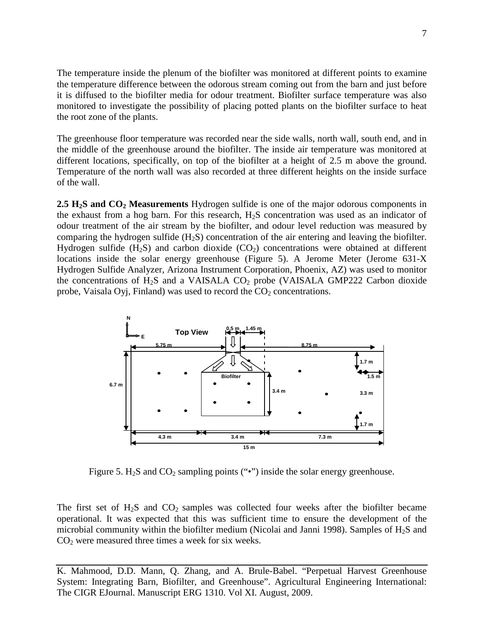The temperature inside the plenum of the biofilter was monitored at different points to examine the temperature difference between the odorous stream coming out from the barn and just before it is diffused to the biofilter media for odour treatment. Biofilter surface temperature was also monitored to investigate the possibility of placing potted plants on the biofilter surface to heat the root zone of the plants.

The greenhouse floor temperature was recorded near the side walls, north wall, south end, and in the middle of the greenhouse around the biofilter. The inside air temperature was monitored at different locations, specifically, on top of the biofilter at a height of 2.5 m above the ground. Temperature of the north wall was also recorded at three different heights on the inside surface of the wall.

2.5 H<sub>2</sub>S and CO<sub>2</sub> Measurements Hydrogen sulfide is one of the major odorous components in the exhaust from a hog barn. For this research,  $H_2S$  concentration was used as an indicator of odour treatment of the air stream by the biofilter, and odour level reduction was measured by comparing the hydrogen sulfide (H2S) concentration of the air entering and leaving the biofilter. Hydrogen sulfide  $(H_2S)$  and carbon dioxide  $(CO_2)$  concentrations were obtained at different locations inside the solar energy greenhouse (Figure 5). A Jerome Meter (Jerome 631-X Hydrogen Sulfide Analyzer, Arizona Instrument Corporation, Phoenix, AZ) was used to monitor the concentrations of  $H_2S$  and a VAISALA CO<sub>2</sub> probe (VAISALA GMP222 Carbon dioxide probe, Vaisala Oyj, Finland) was used to record the  $CO<sub>2</sub>$  concentrations.



Figure 5.  $H_2S$  and  $CO_2$  sampling points ("•") inside the solar energy greenhouse.

The first set of  $H_2S$  and  $CO_2$  samples was collected four weeks after the biofilter became operational. It was expected that this was sufficient time to ensure the development of the microbial community within the biofilter medium (Nicolai and Janni 1998). Samples of  $H_2S$  and  $CO<sub>2</sub>$  were measured three times a week for six weeks.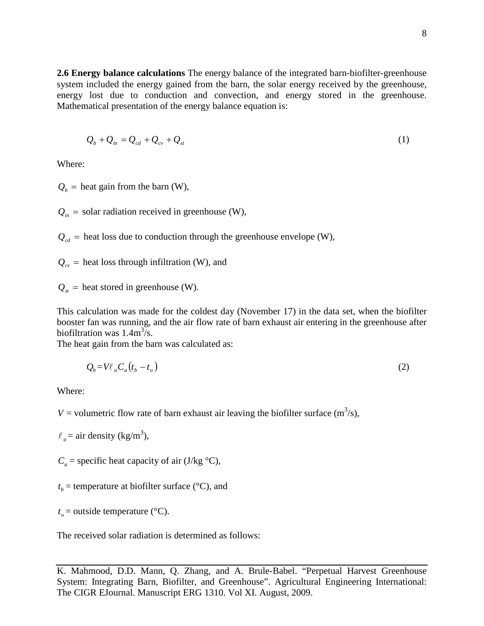**2.6 Energy balance calculations** The energy balance of the integrated barn-biofilter-greenhouse system included the energy gained from the barn, the solar energy received by the greenhouse, energy lost due to conduction and convection, and energy stored in the greenhouse. Mathematical presentation of the energy balance equation is:

$$
Q_b + Q_{in} = Q_{cd} + Q_{cv} + Q_{st}
$$
 (1)

Where:

 $Q_b$  = heat gain from the barn (W),

 $Q_{in}$  = solar radiation received in greenhouse (W),

 $Q_{cd}$  = heat loss due to conduction through the greenhouse envelope (W),

 $Q_{cv}$  = heat loss through infiltration (W), and

 $Q_{st}$  = heat stored in greenhouse (W).

This calculation was made for the coldest day (November 17) in the data set, when the biofilter booster fan was running, and the air flow rate of barn exhaust air entering in the greenhouse after biofiltration was  $1.4 \text{m}^3/\text{s}$ .

The heat gain from the barn was calculated as:

$$
Q_b = V \ell_a C_a (t_b - t_o) \tag{2}
$$

Where:

*V* = volumetric flow rate of barn exhaust air leaving the biofilter surface  $(m^3/s)$ ,

 $l_a$  = air density (kg/m<sup>3</sup>),

 $C_a$  = specific heat capacity of air (J/kg  $\rm{^{\circ}C}$ ),

 $t<sub>b</sub>$  = temperature at biofilter surface ( $\rm{°C}$ ), and

 $t<sub>o</sub>$  = outside temperature (°C).

The received solar radiation is determined as follows: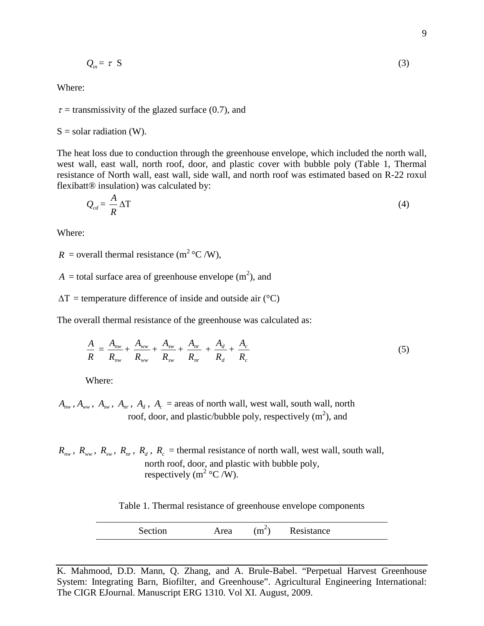$$
Q_{in} = \tau \, S \tag{3}
$$

Where:

 $\tau$  = transmissivity of the glazed surface (0.7), and

$$
S =
$$
 solar radiation (W).

The heat loss due to conduction through the greenhouse envelope, which included the north wall, west wall, east wall, north roof, door, and plastic cover with bubble poly (Table 1, Thermal resistance of North wall, east wall, side wall, and north roof was estimated based on R-22 roxul flexibatt® insulation) was calculated by:

$$
Q_{cd} = \frac{A}{R} \Delta T \tag{4}
$$

Where:

 $R =$  overall thermal resistance (m<sup>2</sup> °C /W),

 $A =$  total surface area of greenhouse envelope  $(m^2)$ , and

 $\Delta T$  = temperature difference of inside and outside air (°C)

The overall thermal resistance of the greenhouse was calculated as:

$$
\frac{A}{R} = \frac{A_{\text{nw}}}{R_{\text{nw}}} + \frac{A_{\text{ww}}}{R_{\text{ww}}} + \frac{A_{\text{sw}}}{R_{\text{sw}}} + \frac{A_{\text{nr}}}{R_{\text{nr}}} + \frac{A_d}{R_d} + \frac{A_c}{R_c} \tag{5}
$$

Where:

 $A_{\scriptscriptstyle{mw}}$ ,  $A_{\scriptscriptstyle{ww}}$ ,  $A_{\scriptscriptstyle{wr}}$ ,  $A_{\scriptscriptstyle{p}}$ ,  $A_{\scriptscriptstyle{d}}$ ,  $A_{\scriptscriptstyle{c}}$  = areas of north wall, west wall, south wall, north roof, door, and plastic/bubble poly, respectively  $(m^2)$ , and

 $R_{\text{nw}}$ ,  $R_{\text{w}}$ ,  $R_{\text{sw}}$ ,  $R_{\text{w}}$ ,  $R_{\text{d}}$ ,  $R_{\text{c}}$  = thermal resistance of north wall, west wall, south wall, north roof, door, and plastic with bubble poly, respectively ( $m^2$ °C /W).

Table 1. Thermal resistance of greenhouse envelope components

Section Area 
$$
(m^2)
$$
 Resistance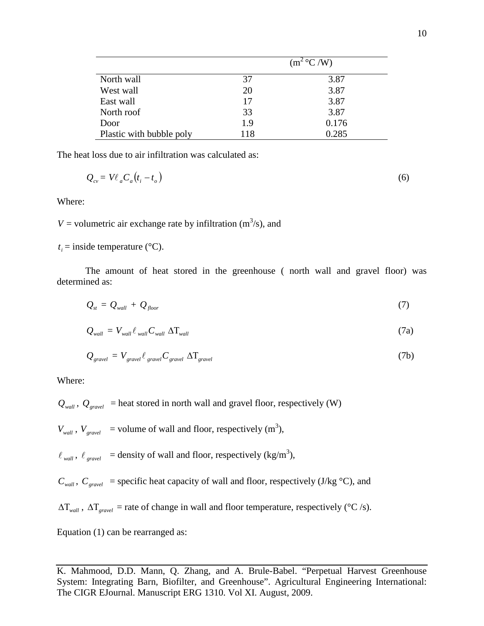|                          | $(m^2 °C/W)$ |       |
|--------------------------|--------------|-------|
| North wall               | 37           | 3.87  |
| West wall                | 20           | 3.87  |
| East wall                | 17           | 3.87  |
| North roof               | 33           | 3.87  |
| Door                     | 1.9          | 0.176 |
| Plastic with bubble poly | 118          | 0.285 |

The heat loss due to air infiltration was calculated as:

$$
Q_{cv} = V\ell_a C_a (t_i - t_o) \tag{6}
$$

Where:

 $V =$  volumetric air exchange rate by infiltration ( $m^3/s$ ), and

 $t_i$  = inside temperature ( $\rm ^{\circ}C$ ).

The amount of heat stored in the greenhouse ( north wall and gravel floor) was determined as:

$$
Q_{st} = Q_{wall} + Q_{floor} \tag{7}
$$

$$
Q_{wall} = V_{wall} \ell_{wall} C_{wall} \Delta T_{wall} \tag{7a}
$$

$$
Q_{\text{gravel}} = V_{\text{gravel}} \ell_{\text{gravel}} C_{\text{gravel}} \Delta T_{\text{gravel}}
$$
(7b)

Where:

 $Q_{wall}$ ,  $Q_{gravel}$  = heat stored in north wall and gravel floor, respectively (W)

 $V_{wall}$ ,  $V_{gravel}$  = volume of wall and floor, respectively (m<sup>3</sup>),

 $\ell_{wall}$ ,  $\ell_{gravel}$  = density of wall and floor, respectively (kg/m<sup>3</sup>),

 $C_{wall}$ ,  $C_{gravel}$  = specific heat capacity of wall and floor, respectively (J/kg  $\degree$ C), and

∆Τ*wall* , ∆Τ*gravel* = rate of change in wall and floor temperature, respectively (°C /s).

Equation (1) can be rearranged as: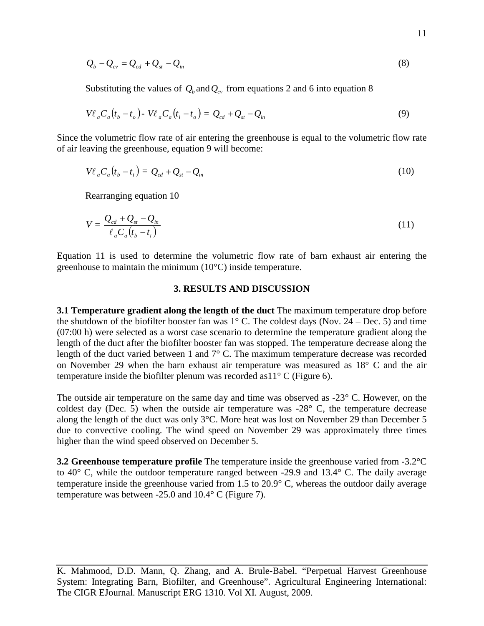$$
Q_b - Q_{cv} = Q_{cd} + Q_{st} - Q_{in}
$$
\n
$$
(8)
$$

Substituting the values of  $Q_b$  and  $Q_c$  from equations 2 and 6 into equation 8

$$
V\ell_a C_a(t_b - t_o) - V\ell_a C_a(t_i - t_o) = Q_{cd} + Q_{st} - Q_{in}
$$
\n
$$
(9)
$$

Since the volumetric flow rate of air entering the greenhouse is equal to the volumetric flow rate of air leaving the greenhouse, equation 9 will become:

$$
V\ell_a C_a(t_b - t_i) = Q_{cd} + Q_{st} - Q_{in}
$$
\n
$$
(10)
$$

Rearranging equation 10

$$
V = \frac{Q_{cd} + Q_{st} - Q_{in}}{\ell_a C_a (t_b - t_i)}
$$
(11)

Equation 11 is used to determine the volumetric flow rate of barn exhaust air entering the greenhouse to maintain the minimum (10°C) inside temperature.

### **3. RESULTS AND DISCUSSION**

**3.1 Temperature gradient along the length of the duct** The maximum temperature drop before the shutdown of the biofilter booster fan was  $1^{\circ}$  C. The coldest days (Nov. 24 – Dec. 5) and time (07:00 h) were selected as a worst case scenario to determine the temperature gradient along the length of the duct after the biofilter booster fan was stopped. The temperature decrease along the length of the duct varied between 1 and 7° C. The maximum temperature decrease was recorded on November 29 when the barn exhaust air temperature was measured as 18° C and the air temperature inside the biofilter plenum was recorded as  $11^{\circ}$  C (Figure 6).

The outside air temperature on the same day and time was observed as -23° C. However, on the coldest day (Dec. 5) when the outside air temperature was -28° C, the temperature decrease along the length of the duct was only 3°C. More heat was lost on November 29 than December 5 due to convective cooling. The wind speed on November 29 was approximately three times higher than the wind speed observed on December 5.

**3.2 Greenhouse temperature profile** The temperature inside the greenhouse varied from -3.2°C to 40° C, while the outdoor temperature ranged between -29.9 and 13.4° C. The daily average temperature inside the greenhouse varied from 1.5 to 20.9° C, whereas the outdoor daily average temperature was between -25.0 and 10.4° C (Figure 7).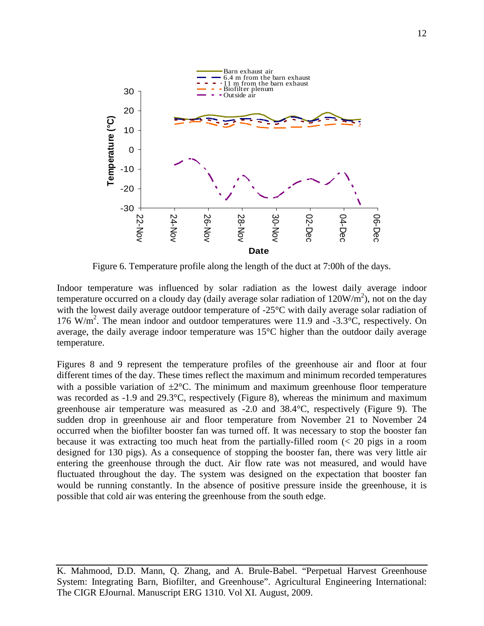

Figure 6. Temperature profile along the length of the duct at 7:00h of the days.

Indoor temperature was influenced by solar radiation as the lowest daily average indoor temperature occurred on a cloudy day (daily average solar radiation of  $120W/m<sup>2</sup>$ ), not on the day with the lowest daily average outdoor temperature of -25<sup>o</sup>C with daily average solar radiation of 176 W/m<sup>2</sup>. The mean indoor and outdoor temperatures were 11.9 and -3.3°C, respectively. On average, the daily average indoor temperature was 15°C higher than the outdoor daily average temperature.

Figures 8 and 9 represent the temperature profiles of the greenhouse air and floor at four different times of the day. These times reflect the maximum and minimum recorded temperatures with a possible variation of  $\pm 2^{\circ}$ C. The minimum and maximum greenhouse floor temperature was recorded as -1.9 and 29.3°C, respectively (Figure 8), whereas the minimum and maximum greenhouse air temperature was measured as -2.0 and 38.4°C, respectively (Figure 9). The sudden drop in greenhouse air and floor temperature from November 21 to November 24 occurred when the biofilter booster fan was turned off. It was necessary to stop the booster fan because it was extracting too much heat from the partially-filled room (< 20 pigs in a room designed for 130 pigs). As a consequence of stopping the booster fan, there was very little air entering the greenhouse through the duct. Air flow rate was not measured, and would have fluctuated throughout the day. The system was designed on the expectation that booster fan would be running constantly. In the absence of positive pressure inside the greenhouse, it is possible that cold air was entering the greenhouse from the south edge.

K. Mahmood, D.D. Mann, Q. Zhang, and A. Brule-Babel. "Perpetual Harvest Greenhouse System: Integrating Barn, Biofilter, and Greenhouse". Agricultural Engineering International: The CIGR EJournal. Manuscript ERG 1310. Vol XI. August, 2009.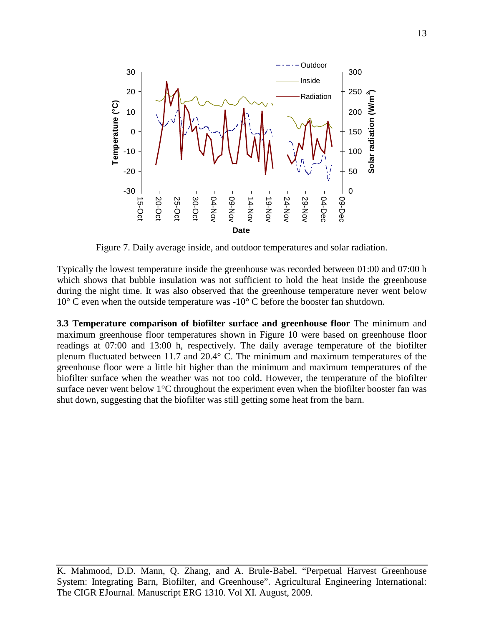

Figure 7. Daily average inside, and outdoor temperatures and solar radiation.

Typically the lowest temperature inside the greenhouse was recorded between 01:00 and 07:00 h which shows that bubble insulation was not sufficient to hold the heat inside the greenhouse during the night time. It was also observed that the greenhouse temperature never went below  $10^{\circ}$  C even when the outside temperature was  $-10^{\circ}$  C before the booster fan shutdown.

**3.3 Temperature comparison of biofilter surface and greenhouse floor** The minimum and maximum greenhouse floor temperatures shown in Figure 10 were based on greenhouse floor readings at 07:00 and 13:00 h, respectively. The daily average temperature of the biofilter plenum fluctuated between 11.7 and 20.4° C. The minimum and maximum temperatures of the greenhouse floor were a little bit higher than the minimum and maximum temperatures of the biofilter surface when the weather was not too cold. However, the temperature of the biofilter surface never went below 1°C throughout the experiment even when the biofilter booster fan was shut down, suggesting that the biofilter was still getting some heat from the barn.

K. Mahmood, D.D. Mann, Q. Zhang, and A. Brule-Babel. "Perpetual Harvest Greenhouse System: Integrating Barn, Biofilter, and Greenhouse". Agricultural Engineering International: The CIGR EJournal. Manuscript ERG 1310. Vol XI. August, 2009.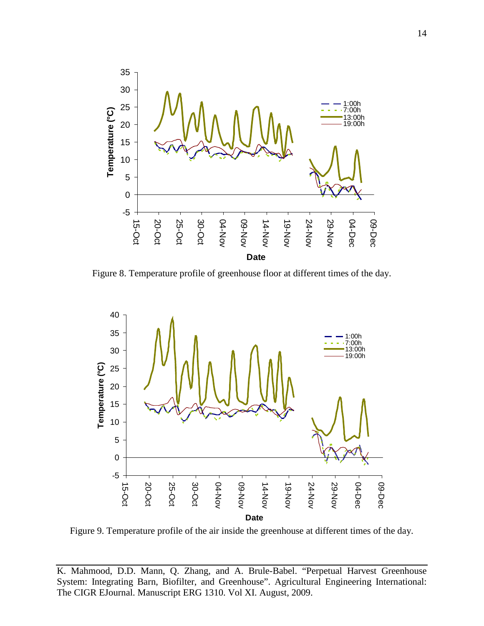

Figure 8. Temperature profile of greenhouse floor at different times of the day.



Figure 9. Temperature profile of the air inside the greenhouse at different times of the day.

K. Mahmood, D.D. Mann, Q. Zhang, and A. Brule-Babel. "Perpetual Harvest Greenhouse System: Integrating Barn, Biofilter, and Greenhouse". Agricultural Engineering International: The CIGR EJournal. Manuscript ERG 1310. Vol XI. August, 2009.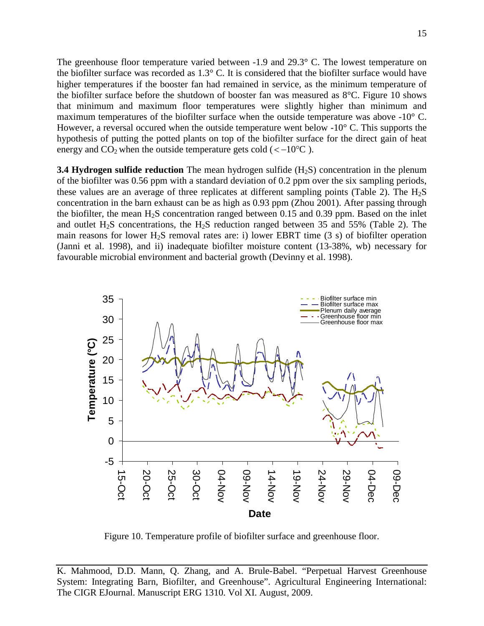The greenhouse floor temperature varied between -1.9 and 29.3° C. The lowest temperature on the biofilter surface was recorded as 1.3° C. It is considered that the biofilter surface would have higher temperatures if the booster fan had remained in service, as the minimum temperature of the biofilter surface before the shutdown of booster fan was measured as 8°C. Figure 10 shows that minimum and maximum floor temperatures were slightly higher than minimum and maximum temperatures of the biofilter surface when the outside temperature was above -10° C. However, a reversal occured when the outside temperature went below  $-10^{\circ}$  C. This supports the hypothesis of putting the potted plants on top of the biofilter surface for the direct gain of heat energy and  $CO_2$  when the outside temperature gets cold (< $-10^{\circ}$ C).

**3.4 Hydrogen sulfide reduction** The mean hydrogen sulfide (H<sub>2</sub>S) concentration in the plenum of the biofilter was 0.56 ppm with a standard deviation of 0.2 ppm over the six sampling periods, these values are an average of three replicates at different sampling points (Table 2). The  $H_2S$ concentration in the barn exhaust can be as high as 0.93 ppm (Zhou 2001). After passing through the biofilter, the mean  $H_2S$  concentration ranged between 0.15 and 0.39 ppm. Based on the inlet and outlet H<sub>2</sub>S concentrations, the H<sub>2</sub>S reduction ranged between 35 and 55% (Table 2). The main reasons for lower H<sub>2</sub>S removal rates are: i) lower EBRT time  $(3 \text{ s})$  of biofilter operation (Janni et al. 1998), and ii) inadequate biofilter moisture content (13-38%, wb) necessary for favourable microbial environment and bacterial growth (Devinny et al. 1998).



Figure 10. Temperature profile of biofilter surface and greenhouse floor.

K. Mahmood, D.D. Mann, Q. Zhang, and A. Brule-Babel. "Perpetual Harvest Greenhouse System: Integrating Barn, Biofilter, and Greenhouse". Agricultural Engineering International: The CIGR EJournal. Manuscript ERG 1310. Vol XI. August, 2009.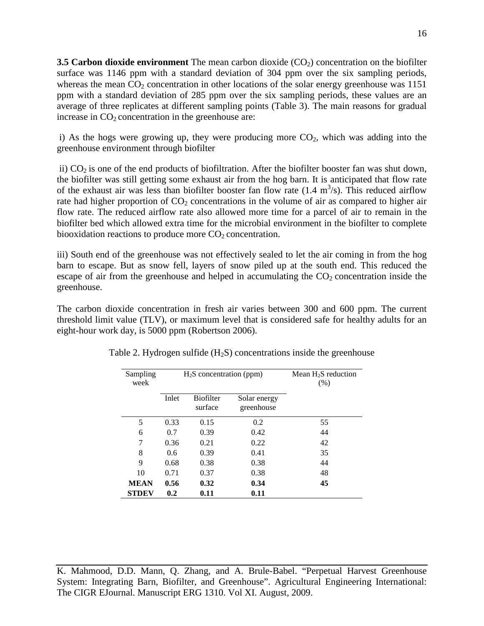**3.5 Carbon dioxide environment** The mean carbon dioxide (CO<sub>2</sub>) concentration on the biofilter surface was 1146 ppm with a standard deviation of 304 ppm over the six sampling periods, whereas the mean  $CO<sub>2</sub>$  concentration in other locations of the solar energy greenhouse was 1151 ppm with a standard deviation of 285 ppm over the six sampling periods, these values are an average of three replicates at different sampling points (Table 3). The main reasons for gradual increase in  $CO<sub>2</sub>$  concentration in the greenhouse are:

i) As the hogs were growing up, they were producing more  $CO<sub>2</sub>$ , which was adding into the greenhouse environment through biofilter

ii)  $CO<sub>2</sub>$  is one of the end products of biofiltration. After the biofilter booster fan was shut down, the biofilter was still getting some exhaust air from the hog barn. It is anticipated that flow rate of the exhaust air was less than biofilter booster fan flow rate  $(1.4 \text{ m}^3/\text{s})$ . This reduced airflow rate had higher proportion of  $CO<sub>2</sub>$  concentrations in the volume of air as compared to higher air flow rate. The reduced airflow rate also allowed more time for a parcel of air to remain in the biofilter bed which allowed extra time for the microbial environment in the biofilter to complete biooxidation reactions to produce more  $CO<sub>2</sub>$  concentration.

iii) South end of the greenhouse was not effectively sealed to let the air coming in from the hog barn to escape. But as snow fell, layers of snow piled up at the south end. This reduced the escape of air from the greenhouse and helped in accumulating the  $CO<sub>2</sub>$  concentration inside the greenhouse.

The carbon dioxide concentration in fresh air varies between 300 and 600 ppm. The current threshold limit value (TLV), or maximum level that is considered safe for healthy adults for an eight-hour work day, is 5000 ppm (Robertson 2006).

| Sampling<br>week | $H_2S$ concentration (ppm) |                             |                            | Mean $H_2S$ reduction<br>(% ) |
|------------------|----------------------------|-----------------------------|----------------------------|-------------------------------|
|                  | Inlet                      | <b>Biofilter</b><br>surface | Solar energy<br>greenhouse |                               |
| 5                | 0.33                       | 0.15                        | 0.2                        | 55                            |
| 6                | 0.7                        | 0.39                        | 0.42                       | 44                            |
| 7                | 0.36                       | 0.21                        | 0.22                       | 42                            |
| 8                | 0.6                        | 0.39                        | 0.41                       | 35                            |
| 9                | 0.68                       | 0.38                        | 0.38                       | 44                            |
| 10               | 0.71                       | 0.37                        | 0.38                       | 48                            |
| <b>MEAN</b>      | 0.56                       | 0.32                        | 0.34                       | 45                            |
| <b>STDEV</b>     | 0.2                        | 0.11                        | 0.11                       |                               |

Table 2. Hydrogen sulfide  $(H<sub>2</sub>S)$  concentrations inside the greenhouse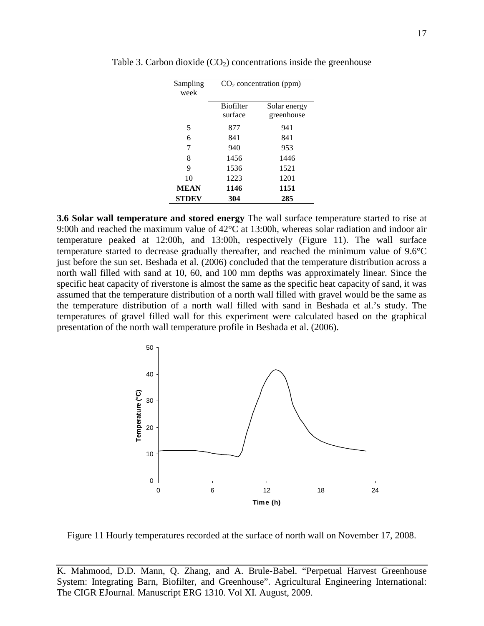| Sampling<br>week | CO <sub>2</sub> concentration (ppm) |              |  |
|------------------|-------------------------------------|--------------|--|
|                  | <b>Biofilter</b>                    | Solar energy |  |
|                  | surface                             | greenhouse   |  |
| 5                | 877                                 | 941          |  |
| 6                | 841                                 | 841          |  |
| 7                | 940                                 | 953          |  |
| 8                | 1456                                | 1446         |  |
| 9                | 1536                                | 1521         |  |
| 10               | 1223                                | 1201         |  |
| <b>MEAN</b>      | 1146                                | 1151         |  |
| <b>STDEV</b>     | 304                                 | 285          |  |

Table 3. Carbon dioxide  $(CO<sub>2</sub>)$  concentrations inside the greenhouse

**3.6 Solar wall temperature and stored energy** The wall surface temperature started to rise at 9:00h and reached the maximum value of 42°C at 13:00h, whereas solar radiation and indoor air temperature peaked at 12:00h, and 13:00h, respectively (Figure 11). The wall surface temperature started to decrease gradually thereafter, and reached the minimum value of 9.6°C just before the sun set. Beshada et al. (2006) concluded that the temperature distribution across a north wall filled with sand at 10, 60, and 100 mm depths was approximately linear. Since the specific heat capacity of riverstone is almost the same as the specific heat capacity of sand, it was assumed that the temperature distribution of a north wall filled with gravel would be the same as the temperature distribution of a north wall filled with sand in Beshada et al.'s study. The temperatures of gravel filled wall for this experiment were calculated based on the graphical presentation of the north wall temperature profile in Beshada et al. (2006).



Figure 11 Hourly temperatures recorded at the surface of north wall on November 17, 2008.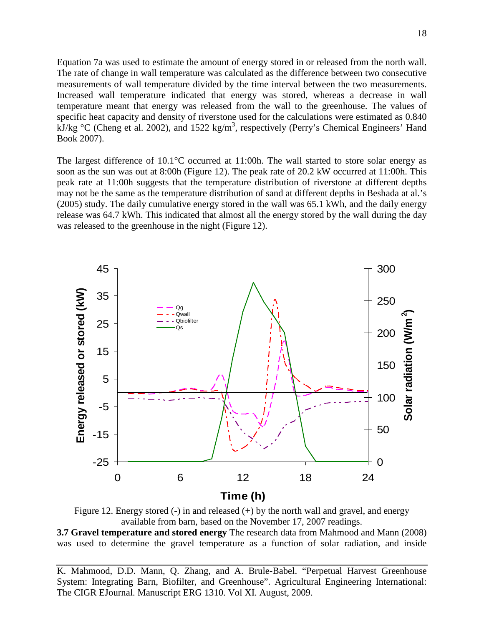Equation 7a was used to estimate the amount of energy stored in or released from the north wall. The rate of change in wall temperature was calculated as the difference between two consecutive measurements of wall temperature divided by the time interval between the two measurements. Increased wall temperature indicated that energy was stored, whereas a decrease in wall temperature meant that energy was released from the wall to the greenhouse. The values of specific heat capacity and density of riverstone used for the calculations were estimated as 0.840  $kJ/kg °C$  (Cheng et al. 2002), and 1522 kg/m<sup>3</sup>, respectively (Perry's Chemical Engineers' Hand Book 2007).

The largest difference of 10.1°C occurred at 11:00h. The wall started to store solar energy as soon as the sun was out at 8:00h (Figure 12). The peak rate of 20.2 kW occurred at 11:00h. This peak rate at 11:00h suggests that the temperature distribution of riverstone at different depths may not be the same as the temperature distribution of sand at different depths in Beshada at al.'s (2005) study. The daily cumulative energy stored in the wall was 65.1 kWh, and the daily energy release was 64.7 kWh. This indicated that almost all the energy stored by the wall during the day was released to the greenhouse in the night (Figure 12).



Figure 12. Energy stored  $(-)$  in and released  $(+)$  by the north wall and gravel, and energy available from barn, based on the November 17, 2007 readings.

**3.7 Gravel temperature and stored energy** The research data from Mahmood and Mann (2008) was used to determine the gravel temperature as a function of solar radiation, and inside

K. Mahmood, D.D. Mann, Q. Zhang, and A. Brule-Babel. "Perpetual Harvest Greenhouse System: Integrating Barn, Biofilter, and Greenhouse". Agricultural Engineering International: The CIGR EJournal. Manuscript ERG 1310. Vol XI. August, 2009.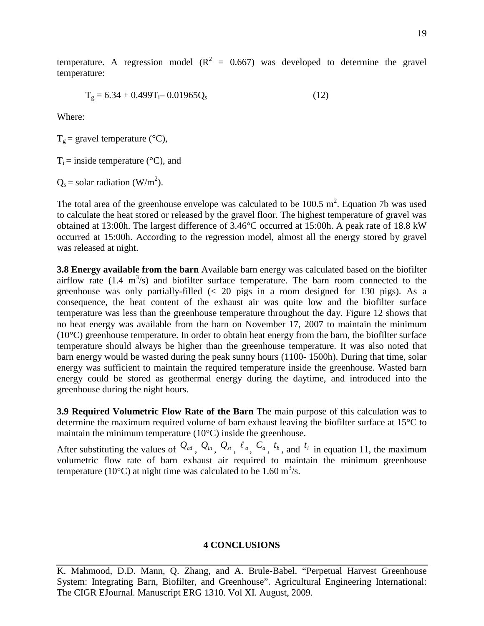temperature. A regression model  $(R^2 = 0.667)$  was developed to determine the gravel temperature:

$$
T_g = 6.34 + 0.499T_i - 0.01965Q_s
$$
 (12)

Where:

 $T_g$  = gravel temperature (°C),

 $T_i$  = inside temperature ( ${}^{\circ}$ C), and

 $Q_s$  = solar radiation (W/m<sup>2</sup>).

The total area of the greenhouse envelope was calculated to be  $100.5 \text{ m}^2$ . Equation 7b was used to calculate the heat stored or released by the gravel floor. The highest temperature of gravel was obtained at 13:00h. The largest difference of 3.46°C occurred at 15:00h. A peak rate of 18.8 kW occurred at 15:00h. According to the regression model, almost all the energy stored by gravel was released at night.

**3.8 Energy available from the barn** Available barn energy was calculated based on the biofilter airflow rate  $(1.4 \text{ m}^3/\text{s})$  and biofilter surface temperature. The barn room connected to the greenhouse was only partially-filled  $\ll$  20 pigs in a room designed for 130 pigs). As a consequence, the heat content of the exhaust air was quite low and the biofilter surface temperature was less than the greenhouse temperature throughout the day. Figure 12 shows that no heat energy was available from the barn on November 17, 2007 to maintain the minimum  $(10^{\circ}$ C) greenhouse temperature. In order to obtain heat energy from the barn, the biofilter surface temperature should always be higher than the greenhouse temperature. It was also noted that barn energy would be wasted during the peak sunny hours (1100- 1500h). During that time, solar energy was sufficient to maintain the required temperature inside the greenhouse. Wasted barn energy could be stored as geothermal energy during the daytime, and introduced into the greenhouse during the night hours.

**3.9 Required Volumetric Flow Rate of the Barn** The main purpose of this calculation was to determine the maximum required volume of barn exhaust leaving the biofilter surface at 15°C to maintain the minimum temperature (10°C) inside the greenhouse.

After substituting the values of  $Q_{cd}$ ,  $Q_{in}$ ,  $Q_{si}$ ,  $\ell_a$ ,  $C_a$ ,  $t_b$ , and  $t_i$  in equation 11, the maximum volumetric flow rate of barn exhaust air required to maintain the minimum greenhouse temperature (10 $^{\circ}$ C) at night time was calculated to be 1.60 m<sup>3</sup>/s.

#### **4 CONCLUSIONS**

K. Mahmood, D.D. Mann, Q. Zhang, and A. Brule-Babel. "Perpetual Harvest Greenhouse System: Integrating Barn, Biofilter, and Greenhouse". Agricultural Engineering International: The CIGR EJournal. Manuscript ERG 1310. Vol XI. August, 2009.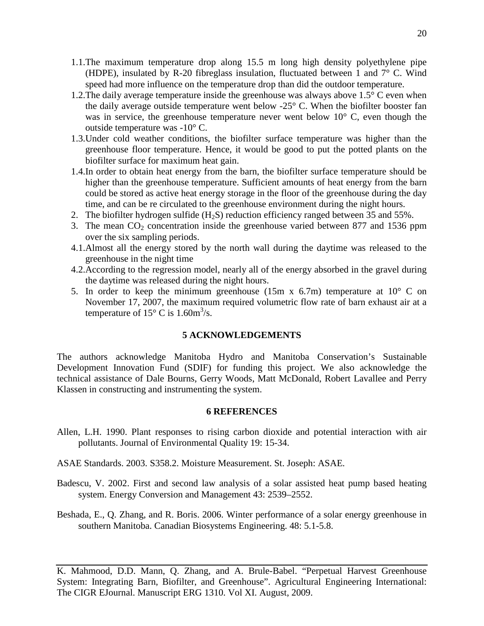- 1.1.The maximum temperature drop along 15.5 m long high density polyethylene pipe (HDPE), insulated by R-20 fibreglass insulation, fluctuated between 1 and 7° C. Wind speed had more influence on the temperature drop than did the outdoor temperature.
- 1.2.The daily average temperature inside the greenhouse was always above 1.5° C even when the daily average outside temperature went below  $-25^{\circ}$  C. When the biofilter booster fan was in service, the greenhouse temperature never went below  $10^{\circ}$  C, even though the outside temperature was -10° C.
- 1.3.Under cold weather conditions, the biofilter surface temperature was higher than the greenhouse floor temperature. Hence, it would be good to put the potted plants on the biofilter surface for maximum heat gain.
- 1.4.In order to obtain heat energy from the barn, the biofilter surface temperature should be higher than the greenhouse temperature. Sufficient amounts of heat energy from the barn could be stored as active heat energy storage in the floor of the greenhouse during the day time, and can be re circulated to the greenhouse environment during the night hours.
- 2. The biofilter hydrogen sulfide  $(H_2S)$  reduction efficiency ranged between 35 and 55%.
- 3. The mean  $CO<sub>2</sub>$  concentration inside the greenhouse varied between 877 and 1536 ppm over the six sampling periods.
- 4.1.Almost all the energy stored by the north wall during the daytime was released to the greenhouse in the night time
- 4.2.According to the regression model, nearly all of the energy absorbed in the gravel during the daytime was released during the night hours.
- 5. In order to keep the minimum greenhouse  $(15m \times 6.7m)$  temperature at  $10^{\circ}$  C on November 17, 2007, the maximum required volumetric flow rate of barn exhaust air at a temperature of  $15^{\circ}$  C is  $1.60 \text{m}^3/\text{s}$ .

### **5 ACKNOWLEDGEMENTS**

The authors acknowledge Manitoba Hydro and Manitoba Conservation's Sustainable Development Innovation Fund (SDIF) for funding this project. We also acknowledge the technical assistance of Dale Bourns, Gerry Woods, Matt McDonald, Robert Lavallee and Perry Klassen in constructing and instrumenting the system.

#### **6 REFERENCES**

- Allen, L.H. 1990. Plant responses to rising carbon dioxide and potential interaction with air pollutants. Journal of Environmental Quality 19: 15-34.
- ASAE Standards. 2003. S358.2. Moisture Measurement. St. Joseph: ASAE.
- Badescu, V. 2002. First and second law analysis of a solar assisted heat pump based heating system. Energy Conversion and Management 43: 2539–2552.
- Beshada, E., Q. Zhang, and R. Boris. 2006. Winter performance of a solar energy greenhouse in southern Manitoba. Canadian Biosystems Engineering. 48: 5.1-5.8.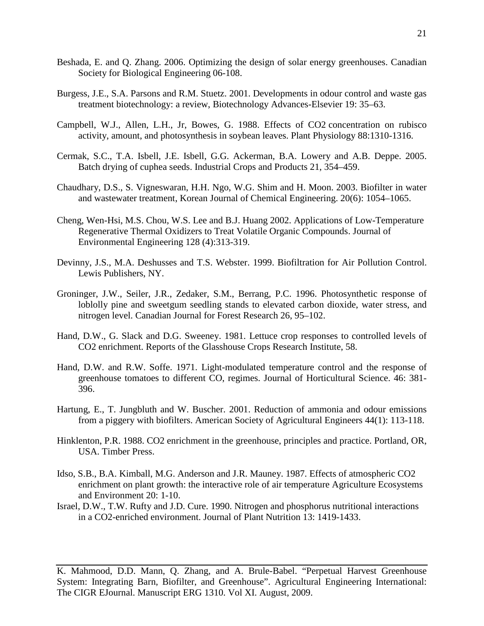- Beshada, E. and Q. Zhang. 2006. Optimizing the design of solar energy greenhouses. Canadian Society for Biological Engineering 06-108.
- Burgess, J.E., S.A. Parsons and R.M. Stuetz. 2001. Developments in odour control and waste gas treatment biotechnology: a review, Biotechnology Advances-Elsevier 19: 35–63.
- Campbell, W.J., Allen, L.H., Jr, Bowes, G. 1988. Effects of CO2 concentration on rubisco activity, amount, and photosynthesis in soybean leaves. Plant Physiology 88:1310-1316.
- Cermak, S.C., T.A. Isbell, J.E. Isbell, G.G. Ackerman, B.A. Lowery and A.B. Deppe. 2005. Batch drying of cuphea seeds. Industrial Crops and Products 21, 354–459.
- Chaudhary, D.S., S. Vigneswaran, H.H. Ngo, W.G. Shim and H. Moon. 2003. Biofilter in water and wastewater treatment, Korean Journal of Chemical Engineering. 20(6): 1054–1065.
- Cheng, Wen-Hsi, M.S. Chou, W.S. Lee and B.J. Huang 2002. Applications of Low-Temperature Regenerative Thermal Oxidizers to Treat Volatile Organic Compounds. Journal of Environmental Engineering 128 (4):313-319.
- Devinny, J.S., M.A. Deshusses and T.S. Webster. 1999. Biofiltration for Air Pollution Control. Lewis Publishers, NY.
- Groninger, J.W., Seiler, J.R., Zedaker, S.M., Berrang, P.C. 1996. Photosynthetic response of loblolly pine and sweetgum seedling stands to elevated carbon dioxide, water stress, and nitrogen level. Canadian Journal for Forest Research 26, 95–102.
- Hand, D.W., G. Slack and D.G. Sweeney. 1981. Lettuce crop responses to controlled levels of CO2 enrichment. Reports of the Glasshouse Crops Research Institute, 58.
- Hand, D.W. and R.W. Soffe. 1971. Light-modulated temperature control and the response of greenhouse tomatoes to different CO, regimes. Journal of Horticultural Science. 46: 381- 396.
- Hartung, E., T. Jungbluth and W. Buscher. 2001. Reduction of ammonia and odour emissions from a piggery with biofilters. American Society of Agricultural Engineers 44(1): 113-118.
- Hinklenton, P.R. 1988. CO2 enrichment in the greenhouse, principles and practice. Portland, OR, USA. Timber Press.
- Idso, S.B., B.A. Kimball, M.G. Anderson and J.R. Mauney. 1987. Effects of atmospheric CO2 enrichment on plant growth: the interactive role of air temperature Agriculture Ecosystems and Environment 20: 1-10.
- Israel, D.W., T.W. Rufty and J.D. Cure. 1990. Nitrogen and phosphorus nutritional interactions in a CO2-enriched environment. Journal of Plant Nutrition 13: 1419-1433.

K. Mahmood, D.D. Mann, Q. Zhang, and A. Brule-Babel. "Perpetual Harvest Greenhouse System: Integrating Barn, Biofilter, and Greenhouse". Agricultural Engineering International: The CIGR EJournal. Manuscript ERG 1310. Vol XI. August, 2009.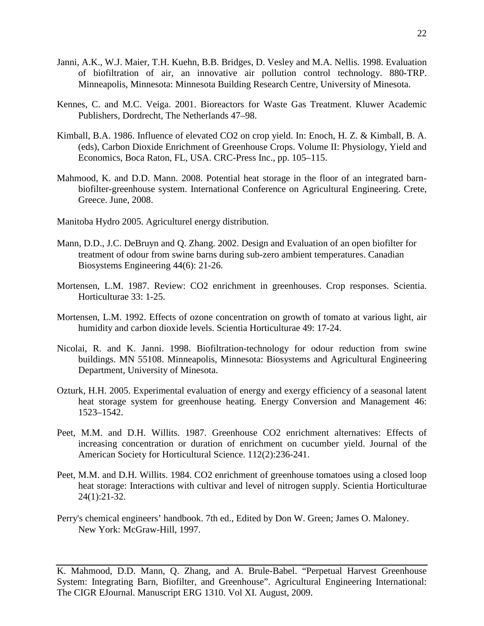- Janni, A.K., W.J. Maier, T.H. Kuehn, B.B. Bridges, D. Vesley and M.A. Nellis. 1998. Evaluation of biofiltration of air, an innovative air pollution control technology. 880-TRP. Minneapolis, Minnesota: Minnesota Building Research Centre, University of Minesota.
- Kennes, C. and M.C. Veiga. 2001. Bioreactors for Waste Gas Treatment. Kluwer Academic Publishers, Dordrecht, The Netherlands 47–98.
- Kimball, B.A. 1986. Influence of elevated CO2 on crop yield. In: Enoch, H. Z. & Kimball, B. A. (eds), Carbon Dioxide Enrichment of Greenhouse Crops. Volume II: Physiology, Yield and Economics, Boca Raton, FL, USA. CRC-Press Inc., pp. 105–115.
- Mahmood, K. and D.D. Mann. 2008. Potential heat storage in the floor of an integrated barnbiofilter-greenhouse system. International Conference on Agricultural Engineering. Crete, Greece. June, 2008.
- Manitoba Hydro 2005. Agriculturel energy distribution.
- Mann, D.D., J.C. DeBruyn and Q. Zhang. 2002. Design and Evaluation of an open biofilter for treatment of odour from swine barns during sub-zero ambient temperatures. Canadian Biosystems Engineering 44(6): 21-26.
- Mortensen, L.M. 1987. Review: CO2 enrichment in greenhouses. Crop responses. Scientia. Horticulturae 33: 1-25.
- Mortensen, L.M. 1992. Effects of ozone concentration on growth of tomato at various light, air humidity and carbon dioxide levels. Scientia Horticulturae 49: 17-24.
- Nicolai, R. and K. Janni. 1998. Biofiltration-technology for odour reduction from swine buildings. MN 55108. Minneapolis, Minnesota: Biosystems and Agricultural Engineering Department, University of Minesota.
- Ozturk, H.H. 2005. Experimental evaluation of energy and exergy efficiency of a seasonal latent heat storage system for greenhouse heating. Energy Conversion and Management 46: 1523–1542.
- Peet, M.M. and D.H. Willits. 1987. Greenhouse CO2 enrichment alternatives: Effects of increasing concentration or duration of enrichment on cucumber yield. Journal of the American Society for Horticultural Science. 112(2):236-241.
- Peet, M.M. and D.H. Willits. 1984. CO2 enrichment of greenhouse tomatoes using a closed loop heat storage: Interactions with cultivar and level of nitrogen supply. Scientia Horticulturae 24(1):21-32.
- Perry's chemical engineers' handbook. 7th ed., Edited by Don W. Green; James O. Maloney. New York: McGraw-Hill, 1997.

K. Mahmood, D.D. Mann, Q. Zhang, and A. Brule-Babel. "Perpetual Harvest Greenhouse System: Integrating Barn, Biofilter, and Greenhouse". Agricultural Engineering International: The CIGR EJournal. Manuscript ERG 1310. Vol XI. August, 2009.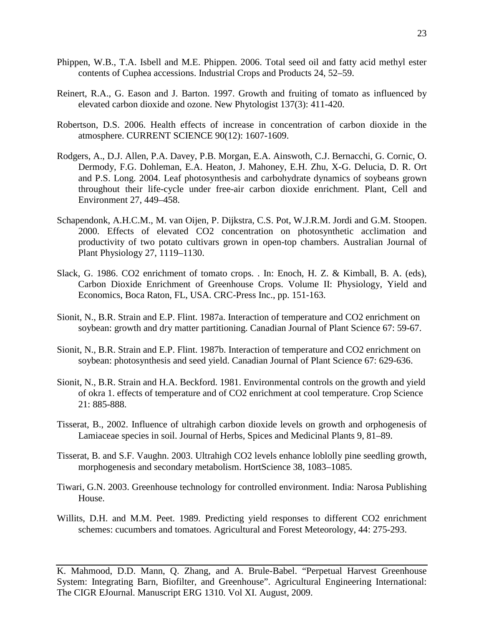- Phippen, W.B., T.A. Isbell and M.E. Phippen. 2006. Total seed oil and fatty acid methyl ester contents of Cuphea accessions. Industrial Crops and Products 24, 52–59.
- Reinert, R.A., G. Eason and J. Barton. 1997. Growth and fruiting of tomato as influenced by elevated carbon dioxide and ozone. New Phytologist 137(3): 411-420.
- Robertson, D.S. 2006. Health effects of increase in concentration of carbon dioxide in the atmosphere. CURRENT SCIENCE 90(12): 1607-1609.
- Rodgers, A., D.J. Allen, P.A. Davey, P.B. Morgan, E.A. Ainswoth, C.J. Bernacchi, G. Cornic, O. Dermody, F.G. Dohleman, E.A. Heaton, J. Mahoney, E.H. Zhu, X-G. Delucia, D. R. Ort and P.S. Long. 2004. Leaf photosynthesis and carbohydrate dynamics of soybeans grown throughout their life-cycle under free-air carbon dioxide enrichment. Plant, Cell and Environment 27, 449–458.
- Schapendonk, A.H.C.M., M. van Oijen, P. Dijkstra, C.S. Pot, W.J.R.M. Jordi and G.M. Stoopen. 2000. Effects of elevated CO2 concentration on photosynthetic acclimation and productivity of two potato cultivars grown in open-top chambers. Australian Journal of Plant Physiology 27, 1119–1130.
- Slack, G. 1986. CO2 enrichment of tomato crops. . In: Enoch, H. Z. & Kimball, B. A. (eds), Carbon Dioxide Enrichment of Greenhouse Crops. Volume II: Physiology, Yield and Economics, Boca Raton, FL, USA. CRC-Press Inc., pp. 151-163.
- Sionit, N., B.R. Strain and E.P. Flint. 1987a. Interaction of temperature and CO2 enrichment on soybean: growth and dry matter partitioning. Canadian Journal of Plant Science 67: 59-67.
- Sionit, N., B.R. Strain and E.P. Flint. 1987b. Interaction of temperature and CO2 enrichment on soybean: photosynthesis and seed yield. Canadian Journal of Plant Science 67: 629-636.
- Sionit, N., B.R. Strain and H.A. Beckford. 1981. Environmental controls on the growth and yield of okra 1. effects of temperature and of CO2 enrichment at cool temperature. Crop Science 21: 885-888.
- Tisserat, B., 2002. Influence of ultrahigh carbon dioxide levels on growth and orphogenesis of Lamiaceae species in soil. Journal of Herbs, Spices and Medicinal Plants 9, 81–89.
- Tisserat, B. and S.F. Vaughn. 2003. Ultrahigh CO2 levels enhance loblolly pine seedling growth, morphogenesis and secondary metabolism. HortScience 38, 1083–1085.
- Tiwari, G.N. 2003. Greenhouse technology for controlled environment. India: Narosa Publishing House.
- Willits, D.H. and M.M. Peet. 1989. Predicting yield responses to different CO2 enrichment schemes: cucumbers and tomatoes. Agricultural and Forest Meteorology, 44: 275-293.

K. Mahmood, D.D. Mann, Q. Zhang, and A. Brule-Babel. "Perpetual Harvest Greenhouse System: Integrating Barn, Biofilter, and Greenhouse". Agricultural Engineering International: The CIGR EJournal. Manuscript ERG 1310. Vol XI. August, 2009.